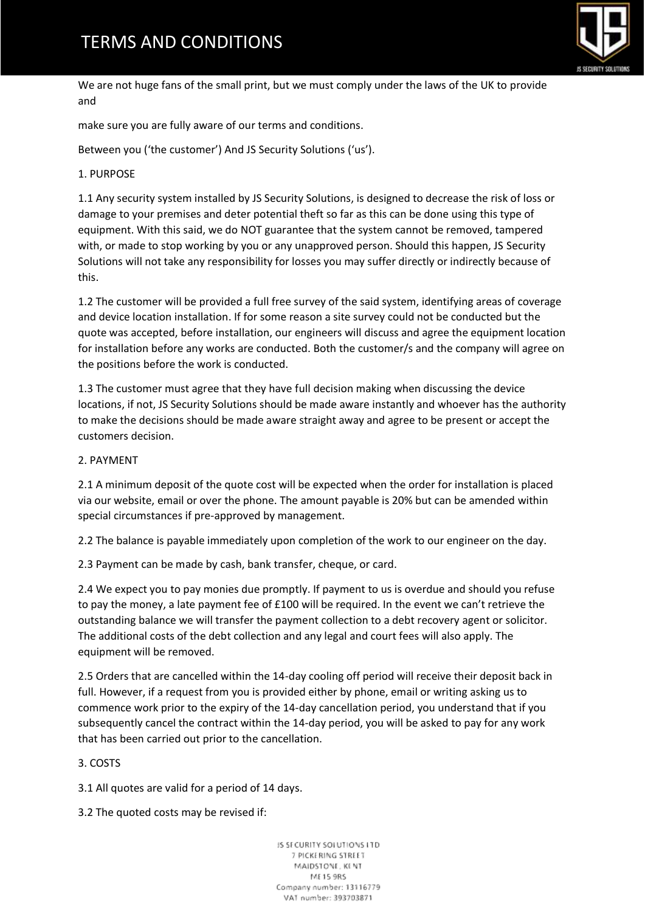

We are not huge fans of the small print, but we must comply under the laws of the UK to provide and

make sure you are fully aware of our terms and conditions.

Between you ('the customer') And JS Security Solutions ('us').

# 1. PURPOSE

1.1 Any security system installed by JS Security Solutions, is designed to decrease the risk of loss or damage to your premises and deter potential theft so far as this can be done using this type of equipment. With this said, we do NOT guarantee that the system cannot be removed, tampered with, or made to stop working by you or any unapproved person. Should this happen, JS Security Solutions will not take any responsibility for losses you may suffer directly or indirectly because of this.

1.2 The customer will be provided a full free survey of the said system, identifying areas of coverage and device location installation. If for some reason a site survey could not be conducted but the quote was accepted, before installation, our engineers will discuss and agree the equipment location for installation before any works are conducted. Both the customer/s and the company will agree on the positions before the work is conducted.

1.3 The customer must agree that they have full decision making when discussing the device locations, if not, JS Security Solutions should be made aware instantly and whoever has the authority to make the decisions should be made aware straight away and agree to be present or accept the customers decision.

## 2. PAYMENT

2.1 A minimum deposit of the quote cost will be expected when the order for installation is placed via our website, email or over the phone. The amount payable is 20% but can be amended within special circumstances if pre-approved by management.

2.2 The balance is payable immediately upon completion of the work to our engineer on the day.

2.3 Payment can be made by cash, bank transfer, cheque, or card.

2.4 We expect you to pay monies due promptly. If payment to us is overdue and should you refuse to pay the money, a late payment fee of £100 will be required. In the event we can't retrieve the outstanding balance we will transfer the payment collection to a debt recovery agent or solicitor. The additional costs of the debt collection and any legal and court fees will also apply. The equipment will be removed.

2.5 Orders that are cancelled within the 14-day cooling off period will receive their deposit back in full. However, if a request from you is provided either by phone, email or writing asking us to commence work prior to the expiry of the 14-day cancellation period, you understand that if you subsequently cancel the contract within the 14-day period, you will be asked to pay for any work that has been carried out prior to the cancellation.

## 3. COSTS

3.1 All quotes are valid for a period of 14 days.

3.2 The quoted costs may be revised if: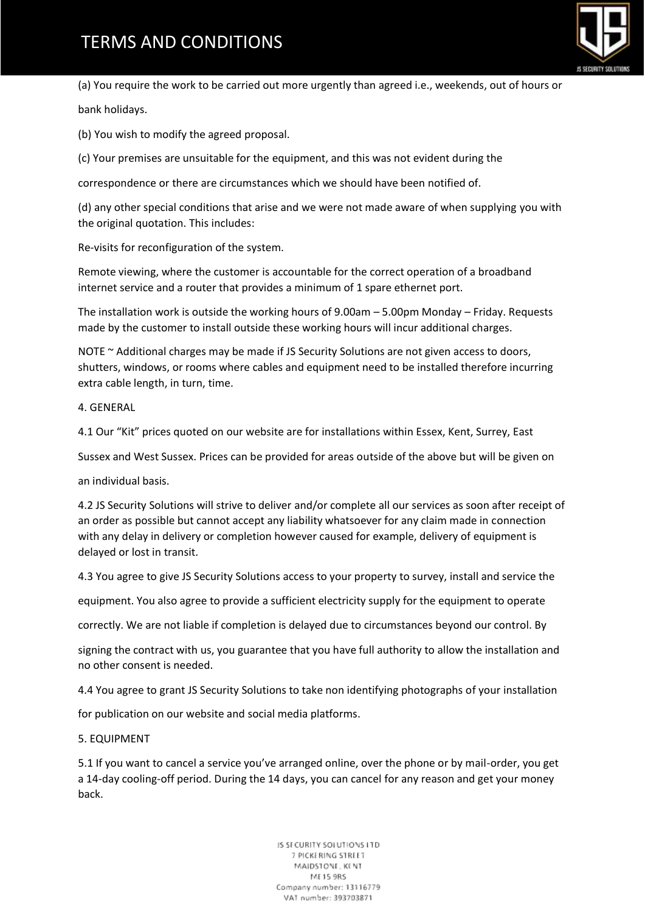# **TERMS AND CONDITIONS**



(a) You require the work to be carried out more urgently than agreed i.e., weekends, out of hours or bank holidays.

(b) You wish to modify the agreed proposal.

(c) Your premises are unsuitable for the equipment, and this was not evident during the

correspondence or there are circumstances which we should have been notified of.

(d) any other special conditions that arise and we were not made aware of when supplying you with the original quotation. This includes:

Re-visits for reconfiguration of the system.

Remote viewing, where the customer is accountable for the correct operation of a broadband internet service and a router that provides a minimum of 1 spare ethernet port.

The installation work is outside the working hours of 9.00am – 5.00pm Monday – Friday. Requests made by the customer to install outside these working hours will incur additional charges.

NOTE ~ Additional charges may be made if JS Security Solutions are not given access to doors, shutters, windows, or rooms where cables and equipment need to be installed therefore incurring extra cable length, in turn, time.

4. GENERAL

4.1 Our "Kit" prices quoted on our website are for installations within Essex, Kent, Surrey, East

Sussex and West Sussex. Prices can be provided for areas outside of the above but will be given on

an individual basis.

4.2 JS Security Solutions will strive to deliver and/or complete all our services as soon after receipt of an order as possible but cannot accept any liability whatsoever for any claim made in connection with any delay in delivery or completion however caused for example, delivery of equipment is delayed or lost in transit.

4.3 You agree to give JS Security Solutions access to your property to survey, install and service the

equipment. You also agree to provide a sufficient electricity supply for the equipment to operate

correctly. We are not liable if completion is delayed due to circumstances beyond our control. By

signing the contract with us, you guarantee that you have full authority to allow the installation and no other consent is needed.

4.4 You agree to grant JS Security Solutions to take non identifying photographs of your installation

for publication on our website and social media platforms.

5. EQUIPMENT

5.1 If you want to cancel a service you've arranged online, over the phone or by mail-order, you get a 14-day cooling-off period. During the 14 days, you can cancel for any reason and get your money back.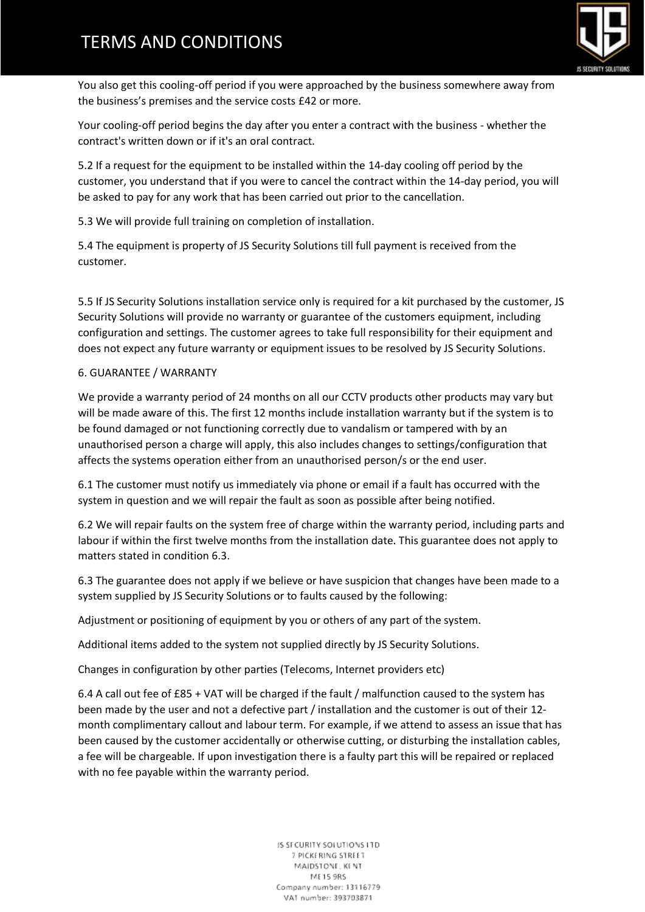# **TERMS AND CONDITIONS**



You also get this cooling-off period if you were approached by the business somewhere away from the business's premises and the service costs £42 or more.

Your cooling-off period begins the day after you enter a contract with the business - whether the contract's written down or if it's an oral contract.

5.2 If a request for the equipment to be installed within the 14-day cooling off period by the customer, you understand that if you were to cancel the contract within the 14-day period, you will be asked to pay for any work that has been carried out prior to the cancellation.

5.3 We will provide full training on completion of installation.

5.4 The equipment is property of JS Security Solutions till full payment is received from the customer.

5.5 If JS Security Solutions installation service only is required for a kit purchased by the customer, JS Security Solutions will provide no warranty or guarantee of the customers equipment, including configuration and settings. The customer agrees to take full responsibility for their equipment and does not expect any future warranty or equipment issues to be resolved by JS Security Solutions.

## 6. GUARANTEE / WARRANTY

We provide a warranty period of 24 months on all our CCTV products other products may vary but will be made aware of this. The first 12 months include installation warranty but if the system is to be found damaged or not functioning correctly due to vandalism or tampered with by an unauthorised person a charge will apply, this also includes changes to settings/configuration that affects the systems operation either from an unauthorised person/s or the end user.

6.1 The customer must notify us immediately via phone or email if a fault has occurred with the system in question and we will repair the fault as soon as possible after being notified.

6.2 We will repair faults on the system free of charge within the warranty period, including parts and labour if within the first twelve months from the installation date. This guarantee does not apply to matters stated in condition 6.3.

6.3 The guarantee does not apply if we believe or have suspicion that changes have been made to a system supplied by JS Security Solutions or to faults caused by the following:

Adjustment or positioning of equipment by you or others of any part of the system.

Additional items added to the system not supplied directly by JS Security Solutions.

Changes in configuration by other parties (Telecoms, Internet providers etc)

6.4 A call out fee of £85 + VAT will be charged if the fault / malfunction caused to the system has been made by the user and not a defective part / installation and the customer is out of their 12 month complimentary callout and labour term. For example, if we attend to assess an issue that has been caused by the customer accidentally or otherwise cutting, or disturbing the installation cables, a fee will be chargeable. If upon investigation there is a faulty part this will be repaired or replaced with no fee payable within the warranty period.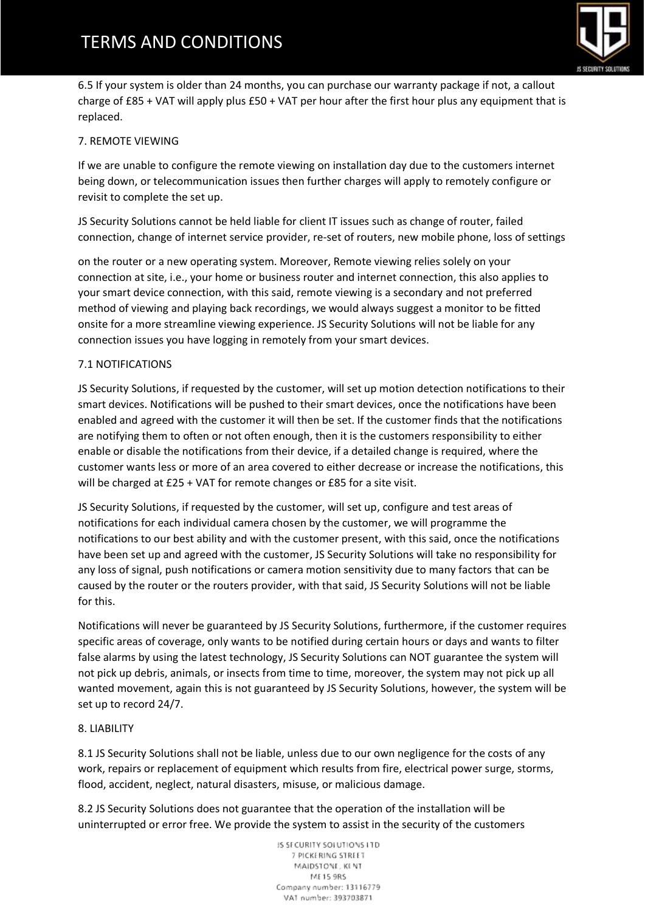

6.5 If your system is older than 24 months, you can purchase our warranty package if not, a callout charge of £85 + VAT will apply plus £50 + VAT per hour after the first hour plus any equipment that is replaced.

# 7. REMOTE VIEWING

If we are unable to configure the remote viewing on installation day due to the customers internet being down, or telecommunication issues then further charges will apply to remotely configure or revisit to complete the set up.

JS Security Solutions cannot be held liable for client IT issues such as change of router, failed connection, change of internet service provider, re-set of routers, new mobile phone, loss of settings

on the router or a new operating system. Moreover, Remote viewing relies solely on your connection at site, i.e., your home or business router and internet connection, this also applies to your smart device connection, with this said, remote viewing is a secondary and not preferred method of viewing and playing back recordings, we would always suggest a monitor to be fitted onsite for a more streamline viewing experience. JS Security Solutions will not be liable for any connection issues you have logging in remotely from your smart devices.

## 7.1 NOTIFICATIONS

JS Security Solutions, if requested by the customer, will set up motion detection notifications to their smart devices. Notifications will be pushed to their smart devices, once the notifications have been enabled and agreed with the customer it will then be set. If the customer finds that the notifications are notifying them to often or not often enough, then it is the customers responsibility to either enable or disable the notifications from their device, if a detailed change is required, where the customer wants less or more of an area covered to either decrease or increase the notifications, this will be charged at £25 + VAT for remote changes or £85 for a site visit.

JS Security Solutions, if requested by the customer, will set up, configure and test areas of notifications for each individual camera chosen by the customer, we will programme the notifications to our best ability and with the customer present, with this said, once the notifications have been set up and agreed with the customer, JS Security Solutions will take no responsibility for any loss of signal, push notifications or camera motion sensitivity due to many factors that can be caused by the router or the routers provider, with that said, JS Security Solutions will not be liable for this.

Notifications will never be guaranteed by JS Security Solutions, furthermore, if the customer requires specific areas of coverage, only wants to be notified during certain hours or days and wants to filter false alarms by using the latest technology, JS Security Solutions can NOT guarantee the system will not pick up debris, animals, or insects from time to time, moreover, the system may not pick up all wanted movement, again this is not guaranteed by JS Security Solutions, however, the system will be set up to record 24/7.

## 8. LIABILITY

8.1 JS Security Solutions shall not be liable, unless due to our own negligence for the costs of any work, repairs or replacement of equipment which results from fire, electrical power surge, storms, flood, accident, neglect, natural disasters, misuse, or malicious damage.

8.2 JS Security Solutions does not guarantee that the operation of the installation will be uninterrupted or error free. We provide the system to assist in the security of the customers